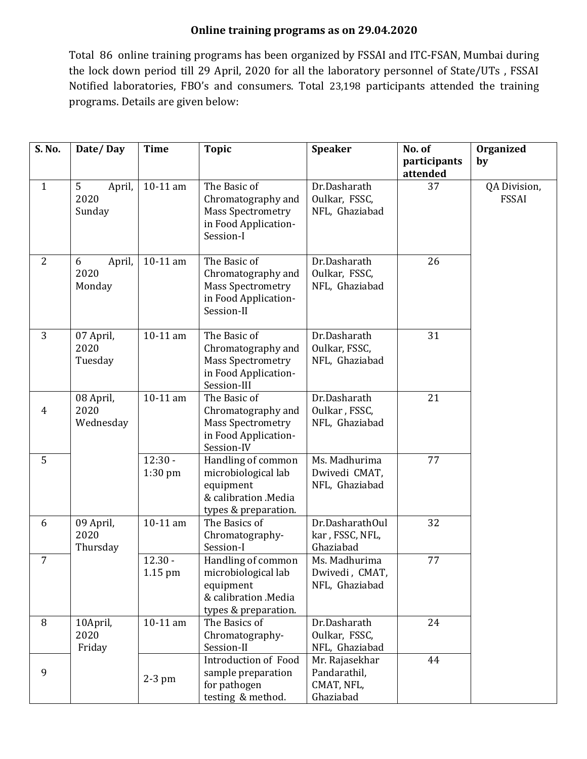## **Online training programs as on 29.04.2020**

Total 86 online training programs has been organized by FSSAI and ITC-FSAN, Mumbai during the lock down period till 29 April, 2020 for all the laboratory personnel of State/UTs , FSSAI Notified laboratories, FBO's and consumers. Total 23,198 participants attended the training programs. Details are given below:

| S. No.         | Date/Day                                   | <b>Time</b>            | <b>Topic</b>                                                                                           | <b>Speaker</b>                                            | No. of                   | Organized                    |
|----------------|--------------------------------------------|------------------------|--------------------------------------------------------------------------------------------------------|-----------------------------------------------------------|--------------------------|------------------------------|
|                |                                            |                        |                                                                                                        |                                                           | participants<br>attended | by                           |
| $\mathbf{1}$   | 5 <sup>1</sup><br>April,<br>2020<br>Sunday | 10-11 am               | The Basic of<br>Chromatography and<br><b>Mass Spectrometry</b><br>in Food Application-<br>Session-I    | Dr.Dasharath<br>Oulkar, FSSC,<br>NFL, Ghaziabad           | 37                       | QA Division,<br><b>FSSAI</b> |
| 2              | 6<br>April,<br>2020<br>Monday              | 10-11 am               | The Basic of<br>Chromatography and<br><b>Mass Spectrometry</b><br>in Food Application-<br>Session-II   | Dr.Dasharath<br>Oulkar, FSSC,<br>NFL, Ghaziabad           | 26                       |                              |
| 3              | 07 April,<br>2020<br>Tuesday               | 10-11 am               | The Basic of<br>Chromatography and<br><b>Mass Spectrometry</b><br>in Food Application-<br>Session-III  | Dr.Dasharath<br>Oulkar, FSSC,<br>NFL, Ghaziabad           | 31                       |                              |
| $\overline{4}$ | 08 April,<br>2020<br>Wednesday             | 10-11 am               | The Basic of<br>Chromatography and<br><b>Mass Spectrometry</b><br>in Food Application-<br>Session-IV   | Dr.Dasharath<br>Oulkar, FSSC,<br>NFL, Ghaziabad           | 21                       |                              |
| 5              |                                            | $12:30 -$<br>$1:30$ pm | Handling of common<br>microbiological lab<br>equipment<br>& calibration .Media<br>types & preparation. | Ms. Madhurima<br>Dwivedi CMAT,<br>NFL, Ghaziabad          | 77                       |                              |
| 6              | 09 April,<br>2020<br>Thursday              | 10-11 am               | The Basics of<br>Chromatography-<br>Session-I                                                          | Dr.DasharathOul<br>kar, FSSC, NFL,<br>Ghaziabad           | 32                       |                              |
| $\overline{7}$ |                                            | $12.30 -$<br>1.15 pm   | Handling of common<br>microbiological lab<br>equipment<br>& calibration .Media<br>types & preparation. | Ms. Madhurima<br>Dwivedi, CMAT,<br>NFL, Ghaziabad         | 77                       |                              |
| 8              | 10April,<br>2020<br>Friday                 | 10-11 am               | The Basics of<br>Chromatography-<br>Session-II                                                         | Dr.Dasharath<br>Oulkar, FSSC,<br>NFL, Ghaziabad           | 24                       |                              |
| 9              |                                            | $2-3$ pm               | Introduction of Food<br>sample preparation<br>for pathogen<br>testing & method.                        | Mr. Rajasekhar<br>Pandarathil,<br>CMAT, NFL,<br>Ghaziabad | 44                       |                              |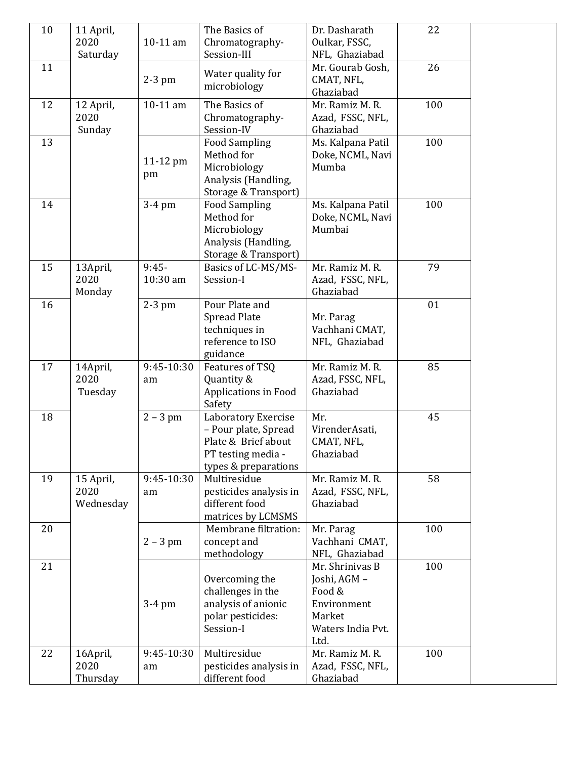| 10 | 11 April, |            | The Basics of                     | Dr. Dasharath                    | 22  |  |
|----|-----------|------------|-----------------------------------|----------------------------------|-----|--|
|    | 2020      | 10-11 am   | Chromatography-                   | Oulkar, FSSC,                    |     |  |
|    | Saturday  |            | Session-III                       | NFL, Ghaziabad                   |     |  |
| 11 |           |            | Water quality for                 | Mr. Gourab Gosh,                 | 26  |  |
|    |           | $2-3$ pm   | microbiology                      | CMAT, NFL,                       |     |  |
|    |           |            |                                   | Ghaziabad                        |     |  |
| 12 | 12 April, | 10-11 am   | The Basics of                     | Mr. Ramiz M. R.                  | 100 |  |
|    | 2020      |            | Chromatography-                   | Azad, FSSC, NFL,                 |     |  |
|    | Sunday    |            | Session-IV                        | Ghaziabad                        |     |  |
| 13 |           |            | <b>Food Sampling</b>              | Ms. Kalpana Patil                | 100 |  |
|    |           | 11-12 pm   | Method for                        | Doke, NCML, Navi                 |     |  |
|    |           | pm         | Microbiology                      | Mumba                            |     |  |
|    |           |            | Analysis (Handling,               |                                  |     |  |
|    |           |            | Storage & Transport)              |                                  |     |  |
| 14 |           | 3-4 pm     | <b>Food Sampling</b>              | Ms. Kalpana Patil                | 100 |  |
|    |           |            | Method for                        | Doke, NCML, Navi                 |     |  |
|    |           |            | Microbiology                      | Mumbai                           |     |  |
|    |           |            | Analysis (Handling,               |                                  |     |  |
|    |           |            | Storage & Transport)              |                                  |     |  |
| 15 | 13April,  | $9:45-$    | Basics of LC-MS/MS-               | Mr. Ramiz M. R.                  | 79  |  |
|    | 2020      | 10:30 am   | Session-I                         | Azad, FSSC, NFL,                 |     |  |
|    | Monday    |            |                                   | Ghaziabad                        |     |  |
| 16 |           | $2-3$ pm   | Pour Plate and                    |                                  | 01  |  |
|    |           |            | <b>Spread Plate</b>               | Mr. Parag                        |     |  |
|    |           |            | techniques in<br>reference to ISO | Vachhani CMAT,<br>NFL, Ghaziabad |     |  |
|    |           |            | guidance                          |                                  |     |  |
| 17 | 14April,  | 9:45-10:30 | Features of TSQ                   | Mr. Ramiz M. R.                  | 85  |  |
|    | 2020      | am         | Quantity &                        | Azad, FSSC, NFL,                 |     |  |
|    | Tuesday   |            | Applications in Food              | Ghaziabad                        |     |  |
|    |           |            | Safety                            |                                  |     |  |
| 18 |           | $2 - 3$ pm | Laboratory Exercise               | Mr.                              | 45  |  |
|    |           |            | - Pour plate, Spread              | VirenderAsati,                   |     |  |
|    |           |            | Plate & Brief about               | CMAT, NFL,                       |     |  |
|    |           |            | PT testing media -                | Ghaziabad                        |     |  |
|    |           |            | types & preparations              |                                  |     |  |
| 19 | 15 April, | 9:45-10:30 | Multiresidue                      | Mr. Ramiz M. R.                  | 58  |  |
|    | 2020      | am         | pesticides analysis in            | Azad, FSSC, NFL,                 |     |  |
|    | Wednesday |            | different food                    | Ghaziabad                        |     |  |
|    |           |            | matrices by LCMSMS                |                                  |     |  |
| 20 |           |            | Membrane filtration:              | Mr. Parag                        | 100 |  |
|    |           | $2 - 3$ pm | concept and                       | Vachhani CMAT,                   |     |  |
|    |           |            | methodology                       | NFL, Ghaziabad                   |     |  |
| 21 |           |            |                                   | Mr. Shrinivas B                  | 100 |  |
|    |           |            | Overcoming the                    | Joshi, AGM -                     |     |  |
|    |           |            | challenges in the                 | Food &                           |     |  |
|    |           | $3-4$ pm   | analysis of anionic               | Environment                      |     |  |
|    |           |            | polar pesticides:                 | Market                           |     |  |
|    |           |            | Session-I                         | Waters India Pvt.                |     |  |
|    |           |            |                                   | Ltd.                             |     |  |
| 22 | 16April,  | 9:45-10:30 | Multiresidue                      | Mr. Ramiz M. R.                  | 100 |  |
|    | 2020      | am         | pesticides analysis in            | Azad, FSSC, NFL,                 |     |  |
|    | Thursday  |            | different food                    | Ghaziabad                        |     |  |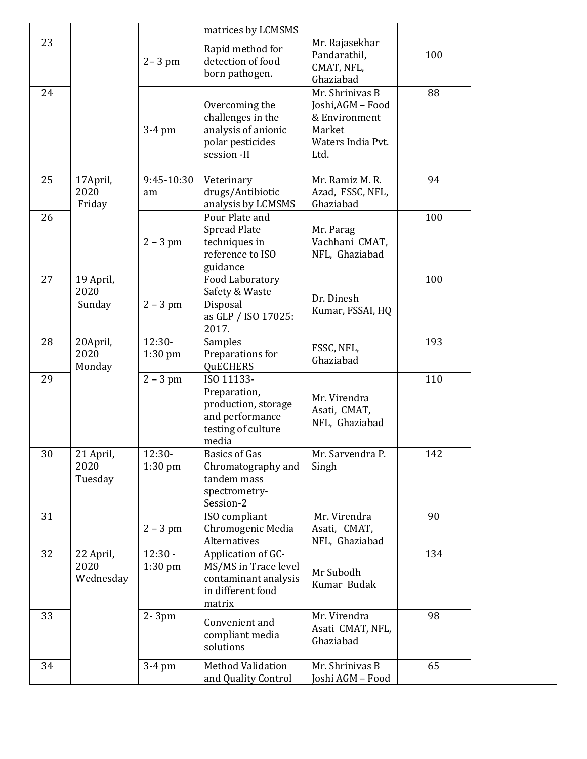|    |                                |                        | matrices by LCMSMS                                                                                  |                                                                                              |     |
|----|--------------------------------|------------------------|-----------------------------------------------------------------------------------------------------|----------------------------------------------------------------------------------------------|-----|
| 23 |                                | $2 - 3$ pm             | Rapid method for<br>detection of food<br>born pathogen.                                             | Mr. Rajasekhar<br>Pandarathil,<br>CMAT, NFL,<br>Ghaziabad                                    | 100 |
| 24 |                                | $3-4$ pm               | Overcoming the<br>challenges in the<br>analysis of anionic<br>polar pesticides<br>session -II       | Mr. Shrinivas B<br>Joshi, AGM - Food<br>& Environment<br>Market<br>Waters India Pvt.<br>Ltd. | 88  |
| 25 | 17 April,<br>2020<br>Friday    | 9:45-10:30<br>am       | Veterinary<br>drugs/Antibiotic<br>analysis by LCMSMS                                                | Mr. Ramiz M. R.<br>Azad, FSSC, NFL,<br>Ghaziabad                                             | 94  |
| 26 |                                | $2 - 3$ pm             | Pour Plate and<br><b>Spread Plate</b><br>techniques in<br>reference to ISO<br>guidance              | Mr. Parag<br>Vachhani CMAT,<br>NFL, Ghaziabad                                                | 100 |
| 27 | 19 April,<br>2020<br>Sunday    | $2 - 3$ pm             | Food Laboratory<br>Safety & Waste<br>Disposal<br>as GLP / ISO 17025:<br>2017.                       | Dr. Dinesh<br>Kumar, FSSAI, HQ                                                               | 100 |
| 28 | 20April,<br>2020<br>Monday     | $12:30-$<br>$1:30$ pm  | Samples<br>Preparations for<br><b>QUECHERS</b>                                                      | FSSC, NFL,<br>Ghaziabad                                                                      | 193 |
| 29 |                                | $2 - 3$ pm             | ISO 11133-<br>Preparation,<br>production, storage<br>and performance<br>testing of culture<br>media | Mr. Virendra<br>Asati, CMAT,<br>NFL, Ghaziabad                                               | 110 |
| 30 | 21 April,<br>2020<br>Tuesday   | $12:30-$<br>1:30 pm    | <b>Basics of Gas</b><br>Chromatography and<br>tandem mass<br>spectrometry-<br>Session-2             | Mr. Sarvendra P.<br>Singh                                                                    | 142 |
| 31 |                                | $2 - 3$ pm             | ISO compliant<br>Chromogenic Media<br>Alternatives                                                  | Mr. Virendra<br>Asati, CMAT,<br>NFL, Ghaziabad                                               | 90  |
| 32 | 22 April,<br>2020<br>Wednesday | $12:30 -$<br>$1:30$ pm | Application of GC-<br>MS/MS in Trace level<br>contaminant analysis<br>in different food<br>matrix   | Mr Subodh<br>Kumar Budak                                                                     | 134 |
| 33 |                                | 2-3pm                  | Convenient and<br>compliant media<br>solutions                                                      | Mr. Virendra<br>Asati CMAT, NFL,<br>Ghaziabad                                                | 98  |
| 34 |                                | 3-4 pm                 | <b>Method Validation</b><br>and Quality Control                                                     | Mr. Shrinivas B<br>Joshi AGM - Food                                                          | 65  |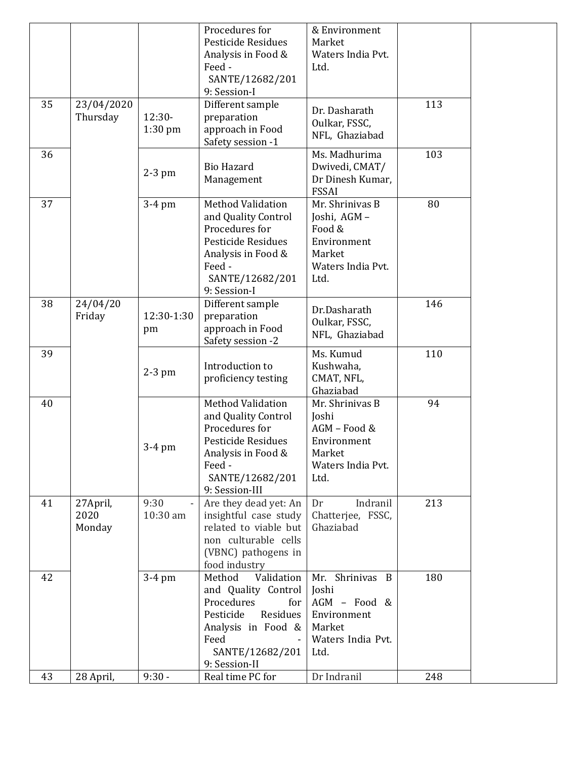|    |                            |                       | Procedures for<br>Pesticide Residues<br>Analysis in Food &<br>Feed -<br>SANTE/12682/201<br>9: Session-I                                                      | & Environment<br>Market<br>Waters India Pvt.<br>Ltd.                                           |     |  |
|----|----------------------------|-----------------------|--------------------------------------------------------------------------------------------------------------------------------------------------------------|------------------------------------------------------------------------------------------------|-----|--|
| 35 | 23/04/2020<br>Thursday     | $12:30-$<br>$1:30$ pm | Different sample<br>preparation<br>approach in Food<br>Safety session -1                                                                                     | Dr. Dasharath<br>Oulkar, FSSC,<br>NFL, Ghaziabad                                               | 113 |  |
| 36 |                            | $2-3$ pm              | <b>Bio Hazard</b><br>Management                                                                                                                              | Ms. Madhurima<br>Dwivedi, CMAT/<br>Dr Dinesh Kumar,<br><b>FSSAI</b>                            | 103 |  |
| 37 |                            | $3-4$ pm              | <b>Method Validation</b><br>and Quality Control<br>Procedures for<br>Pesticide Residues<br>Analysis in Food &<br>Feed -<br>SANTE/12682/201<br>9: Session-I   | Mr. Shrinivas B<br>Joshi, AGM-<br>Food &<br>Environment<br>Market<br>Waters India Pvt.<br>Ltd. | 80  |  |
| 38 | 24/04/20<br>Friday         | 12:30-1:30<br>pm      | Different sample<br>preparation<br>approach in Food<br>Safety session -2                                                                                     | Dr.Dasharath<br>Oulkar, FSSC,<br>NFL, Ghaziabad                                                | 146 |  |
| 39 |                            | $2-3$ pm              | Introduction to<br>proficiency testing                                                                                                                       | Ms. Kumud<br>Kushwaha,<br>CMAT, NFL,<br>Ghaziabad                                              | 110 |  |
| 40 |                            | $3-4$ pm              | <b>Method Validation</b><br>and Quality Control<br>Procedures for<br>Pesticide Residues<br>Analysis in Food &<br>Feed -<br>SANTE/12682/201<br>9: Session-III | Mr. Shrinivas B<br>Joshi<br>AGM - Food &<br>Environment<br>Market<br>Waters India Pvt.<br>Ltd. | 94  |  |
| 41 | 27April,<br>2020<br>Monday | 9:30<br>10:30 am      | Are they dead yet: An<br>insightful case study<br>related to viable but<br>non culturable cells<br>(VBNC) pathogens in<br>food industry                      | Indranil<br>Dr<br>Chatterjee, FSSC,<br>Ghaziabad                                               | 213 |  |
| 42 |                            | $3-4$ pm              | Method<br>Validation<br>and Quality Control<br>Procedures<br>for<br>Residues<br>Pesticide<br>Analysis in Food &<br>Feed<br>SANTE/12682/201<br>9: Session-II  | Mr. Shrinivas B<br>Joshi<br>AGM - Food &<br>Environment<br>Market<br>Waters India Pvt.<br>Ltd. | 180 |  |
| 43 | 28 April,                  | $9:30 -$              | Real time PC for                                                                                                                                             | Dr Indranil                                                                                    | 248 |  |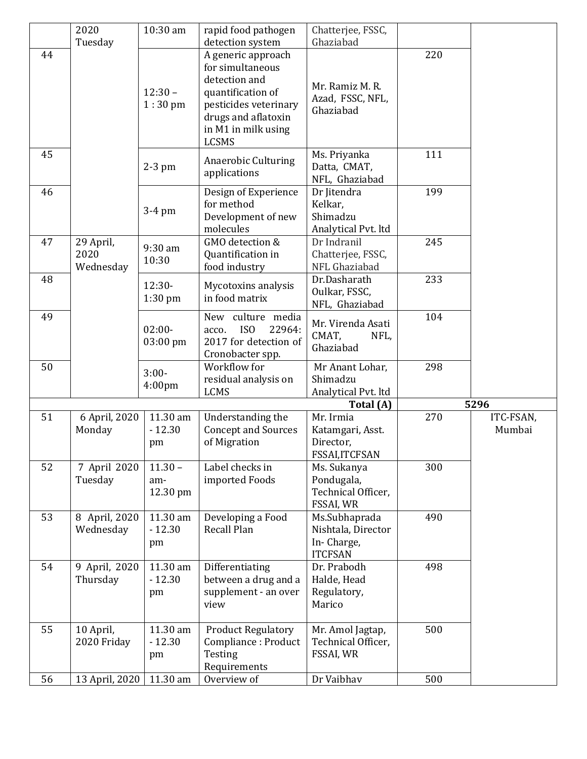|    | 2020                    | 10:30 am           | rapid food pathogen                 | Chatterjee, FSSC,                |     |           |
|----|-------------------------|--------------------|-------------------------------------|----------------------------------|-----|-----------|
|    | Tuesday                 |                    | detection system                    | Ghaziabad                        |     |           |
| 44 |                         |                    | A generic approach                  |                                  | 220 |           |
|    |                         |                    | for simultaneous                    |                                  |     |           |
|    |                         |                    | detection and                       | Mr. Ramiz M. R.                  |     |           |
|    |                         | $12:30 -$          | quantification of                   | Azad, FSSC, NFL,                 |     |           |
|    |                         | $1:30$ pm          | pesticides veterinary               | Ghaziabad                        |     |           |
|    |                         |                    | drugs and aflatoxin                 |                                  |     |           |
|    |                         |                    | in M1 in milk using<br><b>LCSMS</b> |                                  |     |           |
| 45 |                         |                    |                                     | Ms. Priyanka                     | 111 |           |
|    |                         | $2-3$ pm           | <b>Anaerobic Culturing</b>          | Datta, CMAT,                     |     |           |
|    |                         |                    | applications                        | NFL, Ghaziabad                   |     |           |
| 46 |                         |                    | Design of Experience                | Dr Jitendra                      | 199 |           |
|    |                         |                    | for method                          | Kelkar,                          |     |           |
|    |                         | $3-4$ pm           | Development of new                  | Shimadzu                         |     |           |
|    |                         |                    | molecules                           | Analytical Pvt. ltd              |     |           |
| 47 | 29 April,               | 9:30 am            | GMO detection &                     | Dr Indranil                      | 245 |           |
|    | 2020                    | 10:30              | Quantification in                   | Chatterjee, FSSC,                |     |           |
|    | Wednesday               |                    | food industry                       | NFL Ghaziabad                    |     |           |
| 48 |                         | $12:30-$           | Mycotoxins analysis                 | Dr.Dasharath                     | 233 |           |
|    |                         | $1:30$ pm          | in food matrix                      | Oulkar, FSSC,                    |     |           |
| 49 |                         |                    | New culture media                   | NFL, Ghaziabad                   | 104 |           |
|    |                         | $02:00-$           | ISO<br>22964:<br>acco.              | Mr. Virenda Asati                |     |           |
|    |                         | 03:00 pm           | 2017 for detection of               | CMAT,<br>NFL,                    |     |           |
|    |                         |                    | Cronobacter spp.                    | Ghaziabad                        |     |           |
| 50 |                         |                    | Workflow for                        | Mr Anant Lohar,                  | 298 |           |
|    |                         | $3:00-$            | residual analysis on                | Shimadzu                         |     |           |
|    |                         | 4:00 <sub>pm</sub> | <b>LCMS</b>                         | Analytical Pvt. ltd              |     |           |
|    |                         |                    |                                     | Total (A)                        |     | 5296      |
| 51 | 6 April, 2020           | 11.30 am           | Understanding the                   | Mr. Irmia                        | 270 | ITC-FSAN, |
|    | Monday                  | $-12.30$           | <b>Concept and Sources</b>          | Katamgari, Asst.                 |     | Mumbai    |
|    |                         | pm                 | of Migration                        | Director,                        |     |           |
|    |                         |                    |                                     | FSSAI, ITCFSAN                   |     |           |
| 52 | 7 April 2020<br>Tuesday | $11.30 -$          | Label checks in                     | Ms. Sukanya                      | 300 |           |
|    |                         | am-<br>12.30 pm    | imported Foods                      | Pondugala,<br>Technical Officer, |     |           |
|    |                         |                    |                                     | FSSAI, WR                        |     |           |
| 53 | 8 April, 2020           | 11.30 am           | Developing a Food                   | Ms.Subhaprada                    | 490 |           |
|    | Wednesday               | $-12.30$           | Recall Plan                         | Nishtala, Director               |     |           |
|    |                         | pm                 |                                     | In-Charge,                       |     |           |
|    |                         |                    |                                     | <b>ITCFSAN</b>                   |     |           |
| 54 | 9 April, 2020           | 11.30 am           | Differentiating                     | Dr. Prabodh                      | 498 |           |
|    | Thursday                | $-12.30$           | between a drug and a                | Halde, Head                      |     |           |
|    |                         | pm                 | supplement - an over                | Regulatory,                      |     |           |
|    |                         |                    | view                                | Marico                           |     |           |
|    |                         |                    |                                     |                                  |     |           |
| 55 | 10 April,               | 11.30 am           | <b>Product Regulatory</b>           | Mr. Amol Jagtap,                 | 500 |           |
|    | 2020 Friday             | $-12.30$           | Compliance: Product                 | Technical Officer,               |     |           |
|    |                         | pm                 | Testing                             | FSSAI, WR                        |     |           |
| 56 | 13 April, 2020          | 11.30 am           | Requirements<br>Overview of         | Dr Vaibhav                       | 500 |           |
|    |                         |                    |                                     |                                  |     |           |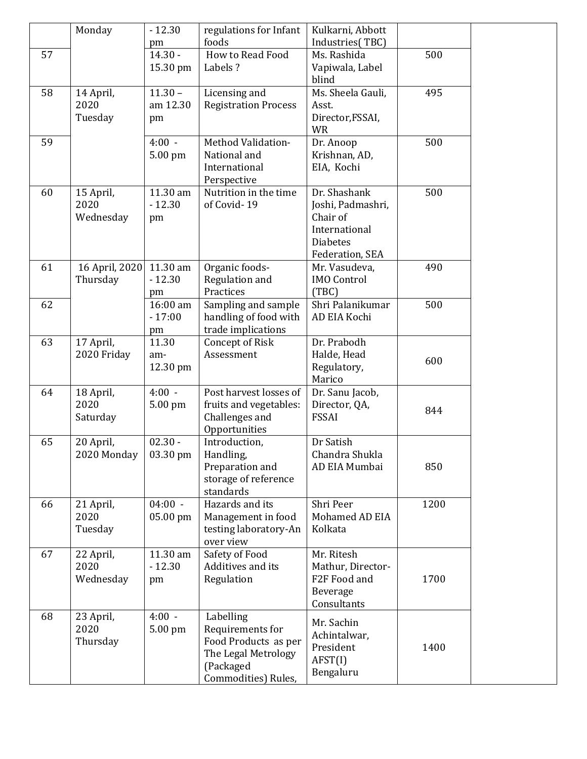|    | Monday         | $-12.30$             | regulations for Infant         | Kulkarni, Abbott                    |      |  |
|----|----------------|----------------------|--------------------------------|-------------------------------------|------|--|
|    |                | pm                   | foods                          | Industries(TBC)                     |      |  |
| 57 |                | $14.30 -$            | How to Read Food               | Ms. Rashida                         | 500  |  |
|    |                | 15.30 pm             | Labels?                        | Vapiwala, Label<br>blind            |      |  |
| 58 | 14 April,      | $11.30 -$            | Licensing and                  | Ms. Sheela Gauli,                   | 495  |  |
|    | 2020           | am 12.30             | <b>Registration Process</b>    | Asst.                               |      |  |
|    | Tuesday        | pm                   |                                | Director, FSSAI,<br><b>WR</b>       |      |  |
| 59 |                | $4:00 -$             | Method Validation-             | Dr. Anoop                           | 500  |  |
|    |                | 5.00 pm              | National and                   | Krishnan, AD,                       |      |  |
|    |                |                      | International<br>Perspective   | EIA, Kochi                          |      |  |
| 60 | 15 April,      | 11.30 am             | Nutrition in the time          | Dr. Shashank                        | 500  |  |
|    | 2020           | $-12.30$             | of Covid-19                    | Joshi, Padmashri,                   |      |  |
|    | Wednesday      | pm                   |                                | Chair of                            |      |  |
|    |                |                      |                                | International                       |      |  |
|    |                |                      |                                | <b>Diabetes</b>                     |      |  |
|    |                |                      |                                | Federation, SEA                     |      |  |
| 61 | 16 April, 2020 | 11.30 am<br>$-12.30$ | Organic foods-                 | Mr. Vasudeva,<br><b>IMO Control</b> | 490  |  |
|    | Thursday       | pm                   | Regulation and<br>Practices    | (TBC)                               |      |  |
| 62 |                | 16:00 am             | Sampling and sample            | Shri Palanikumar                    | 500  |  |
|    |                | $-17:00$             | handling of food with          | AD EIA Kochi                        |      |  |
|    |                | pm                   | trade implications             |                                     |      |  |
| 63 | 17 April,      | 11.30                | <b>Concept of Risk</b>         | Dr. Prabodh                         |      |  |
|    | 2020 Friday    | am-                  | Assessment                     | Halde, Head                         |      |  |
|    |                | 12.30 pm             |                                | Regulatory,                         | 600  |  |
|    |                |                      |                                | Marico                              |      |  |
| 64 | 18 April,      | $4:00 -$             | Post harvest losses of         | Dr. Sanu Jacob,                     |      |  |
|    | 2020           | 5.00 pm              | fruits and vegetables:         | Director, QA,                       | 844  |  |
|    | Saturday       |                      | Challenges and                 | <b>FSSAI</b>                        |      |  |
| 65 | 20 April,      | $02.30 -$            | Opportunities<br>Introduction, | Dr Satish                           |      |  |
|    | 2020 Monday    | 03.30 pm             | Handling,                      | Chandra Shukla                      |      |  |
|    |                |                      | Preparation and                | AD EIA Mumbai                       | 850  |  |
|    |                |                      | storage of reference           |                                     |      |  |
|    |                |                      | standards                      |                                     |      |  |
| 66 | 21 April,      | $04:00 -$            | Hazards and its                | Shri Peer                           | 1200 |  |
|    | 2020           | 05.00 pm             | Management in food             | Mohamed AD EIA                      |      |  |
|    | Tuesday        |                      | testing laboratory-An          | Kolkata                             |      |  |
|    |                |                      | over view                      |                                     |      |  |
| 67 | 22 April,      | 11.30 am             | Safety of Food                 | Mr. Ritesh                          |      |  |
|    | 2020           | $-12.30$             | Additives and its              | Mathur, Director-                   |      |  |
|    | Wednesday      | pm                   | Regulation                     | F2F Food and                        | 1700 |  |
|    |                |                      |                                | Beverage<br>Consultants             |      |  |
| 68 | 23 April,      | $4:00 -$             | Labelling                      |                                     |      |  |
|    | 2020           | 5.00 pm              | Requirements for               | Mr. Sachin<br>Achintalwar,          |      |  |
|    | Thursday       |                      | Food Products as per           | President                           | 1400 |  |
|    |                |                      | The Legal Metrology            | AFST(I)                             |      |  |
|    |                |                      | (Packaged                      | Bengaluru                           |      |  |
|    |                |                      | Commodities) Rules,            |                                     |      |  |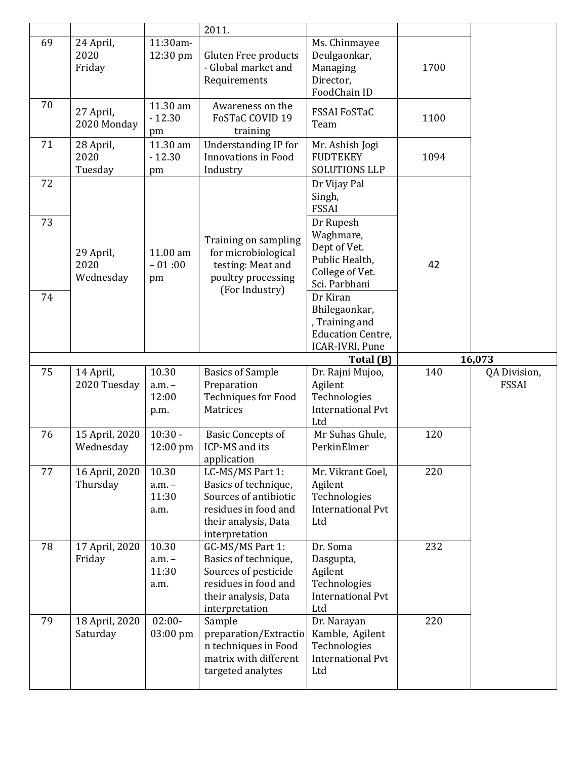|          |                                |                                    | 2011.                                                                                                                                              |                                                                                                                                                                                            |      |                              |
|----------|--------------------------------|------------------------------------|----------------------------------------------------------------------------------------------------------------------------------------------------|--------------------------------------------------------------------------------------------------------------------------------------------------------------------------------------------|------|------------------------------|
| 69       | 24 April,<br>2020<br>Friday    | 11:30am-<br>12:30 pm               | Gluten Free products<br>- Global market and<br>Requirements                                                                                        | Ms. Chinmayee<br>Deulgaonkar,<br>Managing<br>Director,<br>FoodChain ID                                                                                                                     | 1700 |                              |
| 70       | 27 April,<br>2020 Monday       | 11.30 am<br>$-12.30$<br>pm         | Awareness on the<br>FoSTaC COVID 19<br>training                                                                                                    | <b>FSSAI FoSTaC</b><br>Team                                                                                                                                                                | 1100 |                              |
| 71       | 28 April,<br>2020<br>Tuesday   | 11.30 am<br>$-12.30$<br>pm         | <b>Understanding IP for</b><br><b>Innovations in Food</b><br>Industry                                                                              | Mr. Ashish Jogi<br><b>FUDTEKEY</b><br><b>SOLUTIONS LLP</b>                                                                                                                                 | 1094 |                              |
| 72       |                                |                                    |                                                                                                                                                    | Dr Vijay Pal<br>Singh,<br><b>FSSAI</b>                                                                                                                                                     |      |                              |
| 73<br>74 | 29 April,<br>2020<br>Wednesday | 11.00 am<br>$-01:00$<br>pm         | Training on sampling<br>for microbiological<br>testing: Meat and<br>poultry processing<br>(For Industry)                                           | Dr Rupesh<br>Waghmare,<br>Dept of Vet.<br>Public Health,<br>College of Vet.<br>Sci. Parbhani<br>Dr Kiran<br>Bhilegaonkar,<br>, Training and<br><b>Education Centre,</b><br>ICAR-IVRI, Pune | 42   |                              |
|          |                                |                                    |                                                                                                                                                    |                                                                                                                                                                                            |      |                              |
|          |                                |                                    |                                                                                                                                                    | Total (B)                                                                                                                                                                                  |      | 16,073                       |
| 75       | 14 April,<br>2020 Tuesday      | 10.30<br>$a.m. -$<br>12:00<br>p.m. | <b>Basics of Sample</b><br>Preparation<br><b>Techniques for Food</b><br>Matrices                                                                   | Dr. Rajni Mujoo,<br>Agilent<br>Technologies<br><b>International Pvt</b><br>Ltd                                                                                                             | 140  | QA Division,<br><b>FSSAI</b> |
| 76       | 15 April, 2020<br>Wednesday    | $\overline{10:}30 -$<br>12:00 pm   | <b>Basic Concepts of</b><br>ICP-MS and its                                                                                                         | Mr Suhas Ghule,<br>PerkinElmer                                                                                                                                                             | 120  |                              |
| 77       | 16 April, 2020<br>Thursday     | 10.30<br>$a.m. -$<br>11:30<br>a.m. | application<br>LC-MS/MS Part 1:<br>Basics of technique,<br>Sources of antibiotic<br>residues in food and<br>their analysis, Data<br>interpretation | Mr. Vikrant Goel,<br>Agilent<br>Technologies<br><b>International Pvt</b><br>Ltd                                                                                                            | 220  |                              |
| 78       | 17 April, 2020<br>Friday       | 10.30<br>$a.m. -$<br>11:30<br>a.m. | GC-MS/MS Part 1:<br>Basics of technique,<br>Sources of pesticide<br>residues in food and<br>their analysis, Data<br>interpretation                 | Dr. Soma<br>Dasgupta,<br>Agilent<br>Technologies<br><b>International Pvt</b><br>Ltd                                                                                                        | 232  |                              |